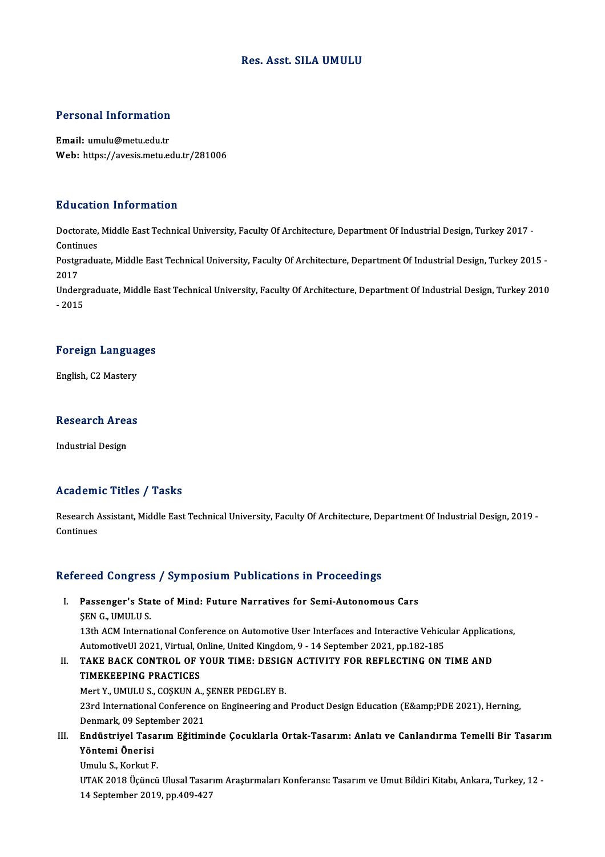### Res. Asst. SILA UMULU

# Personal Information

Personal Information<br>Email: umulu@metu.edu.tr<br>Web: https://avasis.metu.ed Email: umulu@metu.edu.tr<br>Web: https://avesis.metu.edu.tr/281006

#### Education Information

**Education Information**<br>Doctorate, Middle East Technical University, Faculty Of Architecture, Department Of Industrial Design, Turkey 2017 -<br>Continues Doctorate,<br>Continues<br>Postaredus Doctorate, Middle East Technical University, Faculty Of Architecture, Department Of Industrial Design, Turkey 2017 -<br>Continues<br>Postgraduate, Middle East Technical University, Faculty Of Architecture, Department Of Industri

Contir<br>Postgi<br>2017<br>Under Postgraduate, Middle East Technical University, Faculty Of Architecture, Department Of Industrial Design, Turkey 2015 -<br>2017<br>Undergraduate, Middle East Technical University, Faculty Of Architecture, Department Of Industria

2017<br>Undergraduate, Middle East Technical University, Faculty Of Architecture, Department Of Industrial Design, Turkey 2010<br>- 2015

## -<sub>2015</sub><br>Foreign Languages F<mark>oreign Langua</mark><br>English, C2 Mastery

## engusn, C2 Mastery<br>Research Areas R<mark>esearch Are</mark>a<br>Industrial Design

# Industrial Design<br>Academic Titles / Tasks

Academic Titles / Tasks<br>Research Assistant, Middle East Technical University, Faculty Of Architecture, Department Of Industrial Design, 2019 -<br>Continues Research Andrews<br>Continues

# Continues<br>Refereed Congress / Symposium Publications in Proceedings

### efereed Congress / Symposium Publications in Proceedings<br>I. Passenger's State of Mind: Future Narratives for Semi-Autonomous Cars Passenger's Sta<br>Passenger's Sta<br>SEN G., UMULU S.<br>12th ACM Interna Passenger's State of Mind: Future Narratives for Semi-Autonomous Cars<br>ŞEN G., UMULU S.<br>13th ACM International Conference on Automotive User Interfaces and Interactive Vehicular Applications,<br>AutomotiveUL 2021, Virtual Onli

SEN G., UMULU S.<br>13th ACM International Conference on Automotive User Interfaces and Interactive Vehicu<br>AutomotiveUI 2021, Virtual, Online, United Kingdom, 9 - 14 September 2021, pp.182-185<br>TAKE BACK CONTROL OF VOUR TIME. 13th ACM International Conference on Automotive User Interfaces and Interactive Vehicular Applicat<br>AutomotiveUI 2021, Virtual, Online, United Kingdom, 9 - 14 September 2021, pp.182-185<br>II. TAKE BACK CONTROL OF YOUR TIME: D

### AutomotiveUI 2021, Virtual, Online, United Kingdom, 9 - 14 September 2021, pp.182-185<br>TAKE BACK CONTROL OF YOUR TIME: DESIGN ACTIVITY FOR REFLECTING ON<br>TIMEKEEPING PRACTICES<br>Mert Y., UMULU S., COSKUN A., SENER PEDGLEY B. TAKE BACK CONTROL OF YOUR TIME: DESIG.<br>TIMEKEEPING PRACTICES<br>Mert Y., UMULU S., COŞKUN A., ŞENER PEDGLEY B.<br>22rd International Conference on Engineering and

TIMEKEEPING PRACTICES<br>Mert Y., UMULU S., COȘKUN A., ȘENER PEDGLEY B.<br>23rd International Conference on Engineering and Product Design Education (E&amp;PDE 2021), Herning,<br>Denmark, 99 Sentember 2021 Mert Y., UMULU S., COŞKUN A.,<br>23rd International Conference<br>Denmark, 09 September 2021<br>Endüstrival Tesarım Eğitimi 23rd International Conference on Engineering and Product Design Education (E&PDE 2021), Herning,<br>Denmark, 09 September 2021<br>III. Endüstriyel Tasarım Eğitiminde Çocuklarla Ortak-Tasarım: Anlatı ve Canlandırma Temelli Bi

### Denmark, 09 Septe<br><mark>Endüstriyel Tasa</mark><br>Yöntemi Önerisi E<mark>ndüstriyel Tasa</mark>ı<br>Yöntemi Önerisi<br>Umulu S., Korkut F.<br>UTAV 2018 Üsünsü

**Yöntemi Önerisi**<br>Umulu S., Korkut F.<br>UTAK 2018 Üçüncü Ulusal Tasarım Araştırmaları Konferansı: Tasarım ve Umut Bildiri Kitabı, Ankara, Turkey, 12 -14 September 2019, pp.409-427